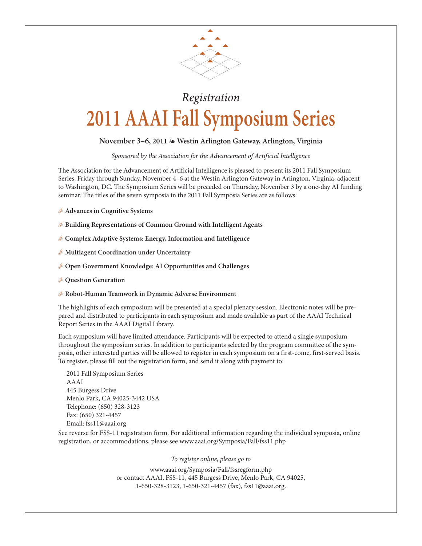

## Registration **2011 AAAI Fall Symposium Series**

## **November 3–6, 2011** - **Westin Arlington Gateway, Arlington, Virginia**

Sponsored by the Association for the Advancement of Artificial Intelligence

The Association for the Advancement of Artificial Intelligence is pleased to present its 2011 Fall Symposium Series, Friday through Sunday, November 4–6 at the Westin Arlington Gateway in Arlington, Virginia, adjacent to Washington, DC. The Symposium Series will be preceded on Thursday, November 3 by a one-day AI funding seminar. The titles of the seven symposia in the 2011 Fall Symposia Series are as follows:

- **Advances in Cognitive Systems**
- **Building Representations of Common Ground with Intelligent Agents**
- **Complex Adaptive Systems: Energy, Information and Intelligence**
- **Multiagent Coordination under Uncertainty**
- **Open Government Knowledge: AI Opportunities and Challenges**
- **Question Generation**
- **Robot-Human Teamwork in Dynamic Adverse Environment**

The highlights of each symposium will be presented at a special plenary session. Electronic notes will be prepared and distributed to participants in each symposium and made available as part of the AAAI Technical Report Series in the AAAI Digital Library.

Each symposium will have limited attendance. Participants will be expected to attend a single symposium throughout the symposium series. In addition to participants selected by the program committee of the symposia, other interested parties will be allowed to register in each symposium on a first-come, first-served basis. To register, please fill out the registration form, and send it along with payment to:

2011 Fall Symposium Series AAAI 445 Burgess Drive Menlo Park, CA 94025-3442 USA Telephone: (650) 328-3123 Fax: (650) 321-4457 Email: fss11@aaai.org

See reverse for FSS-11 registration form. For additional information regarding the individual symposia, online registration, or accommodations, please see www.aaai.org/Symposia/Fall/fss11.php

To register online, please go to

www.aaai.org/Symposia/Fall/fssregform.php or contact AAAI, FSS-11, 445 Burgess Drive, Menlo Park, CA 94025, 1-650-328-3123, 1-650-321-4457 (fax), fss11@aaai.org.